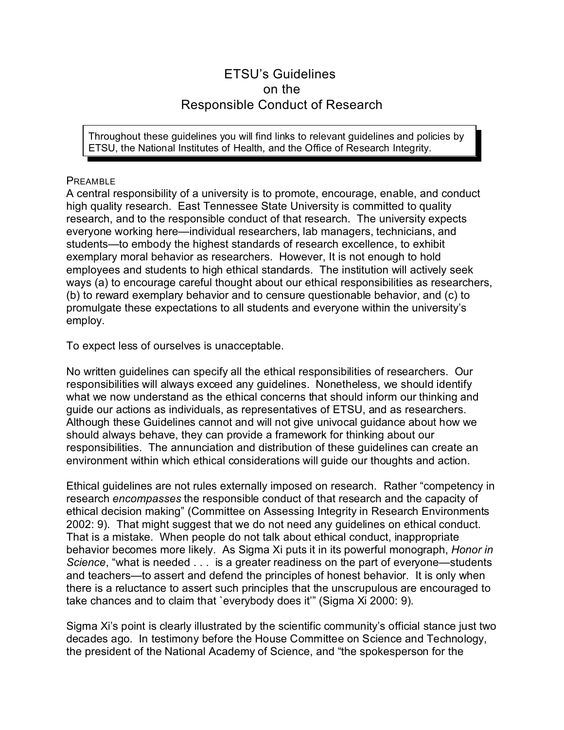# ETSU's Guidelines on the Responsible Conduct of Research

Throughout these guidelines you will find links to relevant guidelines and policies by ETSU, the National Institutes of Health, and the Office of Research Integrity.

# PREAMBLE

A central responsibility of a university is to promote, encourage, enable, and conduct high quality research. East Tennessee State University is committed to quality research, and to the responsible conduct of that research. The university expects everyone working here—individual researchers, lab managers, technicians, and students—to embody the highest standards of research excellence, to exhibit exemplary moral behavior as researchers. However, It is not enough to hold employees and students to high ethical standards. The institution will actively seek ways (a) to encourage careful thought about our ethical responsibilities as researchers, (b) to reward exemplary behavior and to censure questionable behavior, and (c) to promulgate these expectations to all students and everyone within the university's employ.

To expect less of ourselves is unacceptable.

No written guidelines can specify all the ethical responsibilities of researchers. Our responsibilities will always exceed any guidelines. Nonetheless, we should identify what we now understand as the ethical concerns that should inform our thinking and guide our actions as individuals, as representatives of ETSU, and as researchers. Although these Guidelines cannot and will not give univocal guidance about how we should always behave, they can provide a framework for thinking about our responsibilities. The annunciation and distribution of these guidelines can create an environment within which ethical considerations will guide our thoughts and action.

Ethical guidelines are not rules externally imposed on research. Rather "competency in research *encompasses* the responsible conduct of that research and the capacity of ethical decision making" [\(Committee on Assessing Integrity in Research Environments](http://endnote+.cit) [2002: 9\)](http://endnote+.cit). That might suggest that we do not need any guidelines on ethical conduct. That is a mistake. When people do not talk about ethical conduct, inappropriate behavior becomes more likely. As Sigma Xi puts it in its powerful monograph, *Honor in Science*, "what is needed . . . is a greater readiness on the part of everyone—students and teachers—to assert and defend the principles of honest behavior. It is only when there is a reluctance to assert such principles that the unscrupulous are encouraged to take chances and to claim that `everybody does it'" [\(Sigma Xi 2000: 9\)](http://endnote+.cit).

Sigma Xi's point is clearly illustrated by the scientific community's official stance just two decades ago. In testimony before the House Committee on Science and Technology, the president of the National Academy of Science, and "the spokesperson for the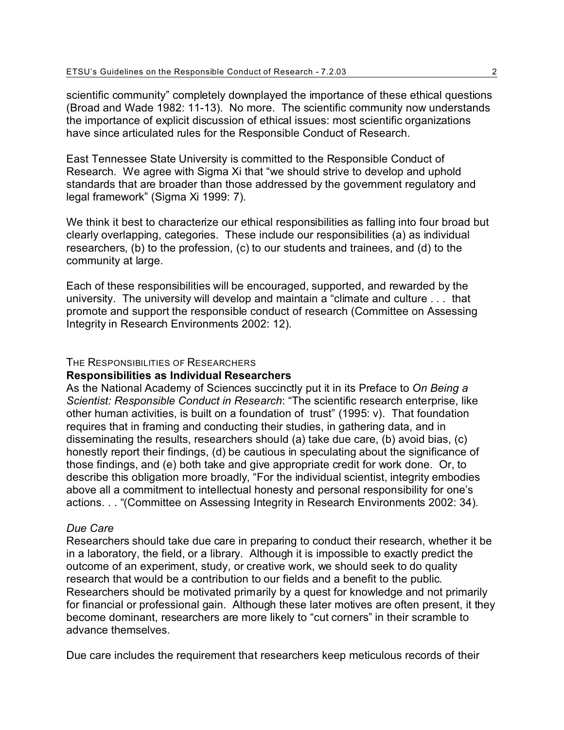scientific community" completely downplayed the importance of these ethical questions [\(Broad and Wade 1982: 11-13\)](http://endnote+.cit). No more. The scientific community now understands the importance of explicit discussion of ethical issues: most scientific organizations have since articulated rules for the Responsible Conduct of Research.

East Tennessee State University is committed to the Responsible Conduct of Research. We agree with Sigma Xi that "we should strive to develop and uphold standards that are broader than those addressed by the government regulatory and legal framework" [\(Sigma Xi 1999: 7\)](http://endnote+.cit).

We think it best to characterize our ethical responsibilities as falling into four broad but clearly overlapping, categories. These include our responsibilities (a) as individual researchers, (b) to the profession, (c) to our students and trainees, and (d) to the community at large.

Each of these responsibilities will be encouraged, supported, and rewarded by the university. The university will develop and maintain a "climate and culture . . . that promote and support the responsible conduct of research [\(Committee on Assessing](http://endnote+.cit) [Integrity in Research Environments 2002: 12\)](http://endnote+.cit).

#### THE RESPONSIBILITIES OF RESEARCHERS

## **Responsibilities as Individual Researchers**

As the National Academy of Sciences succinctly put it in its Preface to *On Being a Scientist: Responsible Conduct in Research*: "The scientific research enterprise, like other human activities, is built on a foundation of trust" [\(1995: v\)](http://endnote+.cit). That foundation requires that in framing and conducting their studies, in gathering data, and in disseminating the results, researchers should (a) take due care, (b) avoid bias, (c) honestly report their findings, (d) be cautious in speculating about the significance of those findings, and (e) both take and give appropriate credit for work done. Or, to describe this obligation more broadly, "For the individual scientist, integrity embodies above all a commitment to intellectual honesty and personal responsibility for one's actions. . . ["\(Committee on Assessing Integrity in Research Environments 2002: 34\)](http://endnote+.cit).

### *Due Care*

Researchers should take due care in preparing to conduct their research, whether it be in a laboratory, the field, or a library. Although it is impossible to exactly predict the outcome of an experiment, study, or creative work, we should seek to do quality research that would be a contribution to our fields and a benefit to the public. Researchers should be motivated primarily by a quest for knowledge and not primarily for financial or professional gain. Although these later motives are often present, it they become dominant, researchers are more likely to "cut corners" in their scramble to advance themselves.

Due care includes the requirement that researchers keep meticulous records of their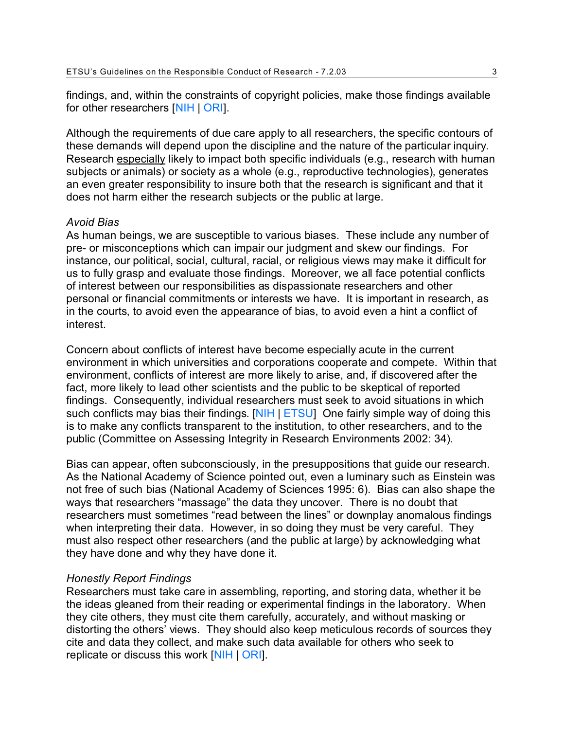findings, and, within the constraints of copyright policies, make those findings available for other researchers [\[NIH](http://www.nih.gov/news/irnews/guidelines.htm#anchor126815) | [ORI](http://www.etsu.edu/research_ethics/ori.guidelines.pdf#dm)].

Although the requirements of due care apply to all researchers, the specific contours of these demands will depend upon the discipline and the nature of the particular inquiry. Research especially likely to impact both specific individuals (e.g., research with human subjects or animals) or society as a whole (e.g., reproductive technologies), generates an even greater responsibility to insure both that the research is significant and that it does not harm either the research subjects or the public at large.

### *Avoid Bias*

As human beings, we are susceptible to various biases. These include any number of pre- or misconceptions which can impair our judgment and skew our findings. For instance, our political, social, cultural, racial, or religious views may make it difficult for us to fully grasp and evaluate those findings. Moreover, we all face potential conflicts of interest between our responsibilities as dispassionate researchers and other personal or financial commitments or interests we have. It is important in research, as in the courts, to avoid even the appearance of bias, to avoid even a hint a conflict of interest.

Concern about conflicts of interest have become especially acute in the current environment in which universities and corporations cooperate and compete. Within that environment, conflicts of interest are more likely to arise, and, if discovered after the fact, more likely to lead other scientists and the public to be skeptical of reported findings. Consequently, individual researchers must seek to avoid situations in which such conflicts may bias their findings. [\[NIH](http://www.nih.gov/news/irnews/guidelines.htm#anchor131464) | [ETSU](http://www.etsu.edu/senate/facultyhandbook/section_1.pdf#coi)] One fairly simple way of doing this is to make any conflicts transparent to the institution, to other researchers, and to the public [\(Committee on Assessing Integrity in Research Environments 2002: 34\)](http://endnote+.cit).

Bias can appear, often subconsciously, in the presuppositions that guide our research. As the National Academy of Science pointed out, even a luminary such as Einstein was not free of such bias [\(National Academy of Sciences 1995: 6\)](http://endnote+.cit). Bias can also shape the ways that researchers "massage" the data they uncover. There is no doubt that researchers must sometimes "read between the lines" or downplay anomalous findings when interpreting their data. However, in so doing they must be very careful. They must also respect other researchers (and the public at large) by acknowledging what they have done and why they have done it.

### *Honestly Report Findings*

Researchers must take care in assembling, reporting, and storing data, whether it be the ideas gleaned from their reading or experimental findings in the laboratory. When they cite others, they must cite them carefully, accurately, and without masking or distorting the others' views. They should also keep meticulous records of sources they cite and data they collect, and make such data available for others who seek to replicate or discuss this work [\[NIH](http://www.nih.gov/news/irnews/guidelines.htm#anchor127575) | [ORI](http://www.etsu.edu/research_ethics/ori.guidelines.pdf#pp)].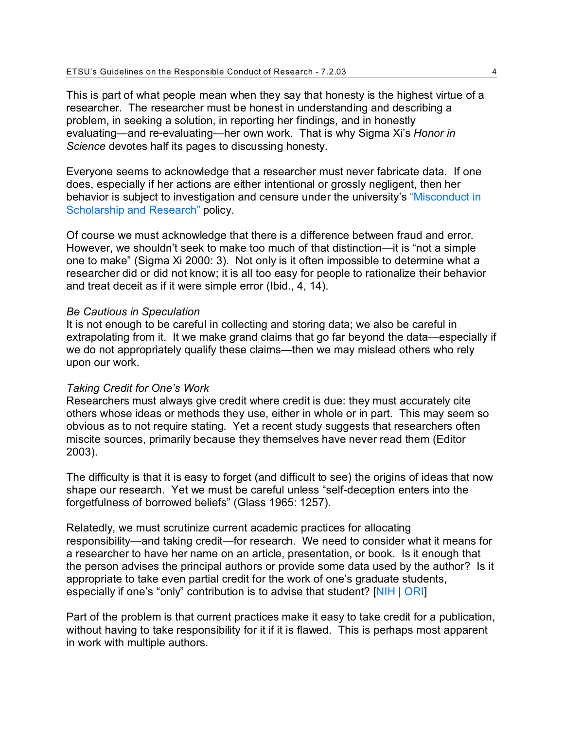This is part of what people mean when they say that honesty is the highest virtue of a researcher. The researcher must be honest in understanding and describing a problem, in seeking a solution, in reporting her findings, and in honestly evaluating—and re-evaluating—her own work. That is why Sigma Xi's *Honor in Science* devotes half its pages to discussing honesty.

Everyone seems to acknowledge that a researcher must never fabricate data. If one does, especially if her actions are either intentional or grossly negligent, then her behavior is subject to investigation and censure under the university's ["Misconduct in](http://www.etsu.edu/research/misconductpolicy.htm) [Scholarship and Research"](http://www.etsu.edu/research/misconductpolicy.htm) policy.

Of course we must acknowledge that there is a difference between fraud and error. However, we shouldn't seek to make too much of that distinction—it is "not a simple one to make" [\(Sigma Xi 2000: 3\)](http://endnote+.cit). Not only is it often impossible to determine what a researcher did or did not know; it is all too easy for people to rationalize their behavior and treat deceit as if it were simple error (Ibid., 4, 14).

### *Be Cautious in Speculation*

It is not enough to be careful in collecting and storing data; we also be careful in extrapolating from it. It we make grand claims that go far beyond the data—especially if we do not appropriately qualify these claims—then we may mislead others who rely upon our work.

### *Taking Credit for One's Work*

Researchers must always give credit where credit is due: they must accurately cite others whose ideas or methods they use, either in whole or in part. This may seem so obvious as to not require stating. Yet a recent study suggests that researchers often miscite sources, primarily because they themselves have never read them [\(Editor](http://endnote+.cit) [2003\)](http://endnote+.cit).

The difficulty is that it is easy to forget (and difficult to see) the origins of ideas that now shape our research. Yet we must be careful unless "self-deception enters into the forgetfulness of borrowed beliefs" [\(Glass 1965: 1257\)](http://endnote+.cit).

Relatedly, we must scrutinize current academic practices for allocating responsibility—and taking credit—for research. We need to consider what it means for a researcher to have her name on an article, presentation, or book. Is it enough that the person advises the principal authors or provide some data used by the author? Is it appropriate to take even partial credit for the work of one's graduate students, especially if one's "only" contribution is to advise that student? [\[NIH](http://www.nih.gov/news/irnews/guidelines.htm#anchor128256) | [ORI](http://www.etsu.edu/research_ethics/ori.guidelines.pdf#su)]

Part of the problem is that current practices make it easy to take credit for a publication, without having to take responsibility for it if it is flawed. This is perhaps most apparent in work with multiple authors.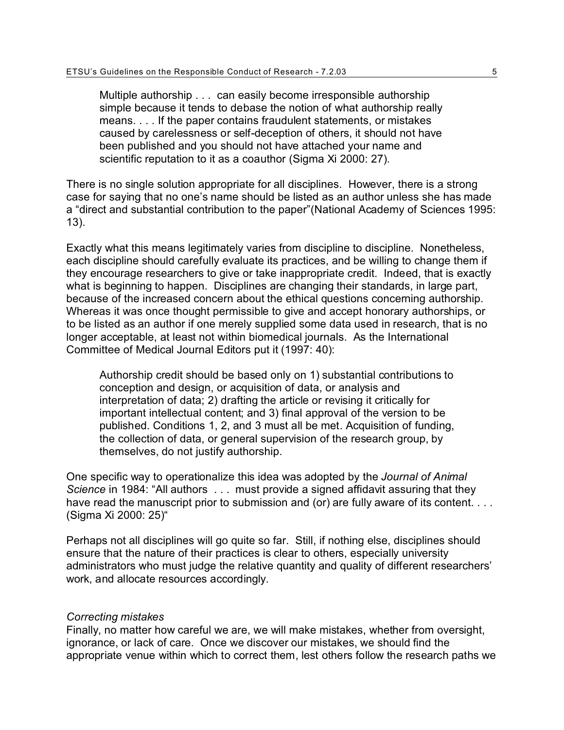Multiple authorship . . . can easily become irresponsible authorship simple because it tends to debase the notion of what authorship really means. . . . If the paper contains fraudulent statements, or mistakes caused by carelessness or self-deception of others, it should not have been published and you should not have attached your name and scientific reputation to it as a coauthor [\(Sigma Xi 2000: 27\)](http://endnote+.cit).

There is no single solution appropriate for all disciplines. However, there is a strong case for saying that no one's name should be listed as an author unless she has made a "direct and substantial contribution to the paper["\(National Academy of Sciences 1995:](http://endnote+.cit) [13\)](http://endnote+.cit).

Exactly what this means legitimately varies from discipline to discipline. Nonetheless, each discipline should carefully evaluate its practices, and be willing to change them if they encourage researchers to give or take inappropriate credit. Indeed, that is exactly what is beginning to happen. Disciplines are changing their standards, in large part, because of the increased concern about the ethical questions concerning authorship. Whereas it was once thought permissible to give and accept honorary authorships, or to be listed as an author if one merely supplied some data used in research, that is no longer acceptable, at least not within biomedical journals. As the International Committee of Medical Journal Editors put it [\(1997: 40\)](http://endnote+.cit):

Authorship credit should be based only on 1) substantial contributions to conception and design, or acquisition of data, or analysis and interpretation of data; 2) drafting the article or revising it critically for important intellectual content; and 3) final approval of the version to be published. Conditions 1, 2, and 3 must all be met. Acquisition of funding, the collection of data, or general supervision of the research group, by themselves, do not justify authorship.

One specific way to operationalize this idea was adopted by the *Journal of Animal Science* in 1984: "All authors . . . must provide a signed affidavit assuring that they have read the manuscript prior to submission and (or) are fully aware of its content. . . . [\(Sigma Xi 2000: 25\)](http://endnote+.cit)"

Perhaps not all disciplines will go quite so far. Still, if nothing else, disciplines should ensure that the nature of their practices is clear to others, especially university administrators who must judge the relative quantity and quality of different researchers' work, and allocate resources accordingly.

### *Correcting mistakes*

Finally, no matter how careful we are, we will make mistakes, whether from oversight, ignorance, or lack of care. Once we discover our mistakes, we should find the appropriate venue within which to correct them, lest others follow the research paths we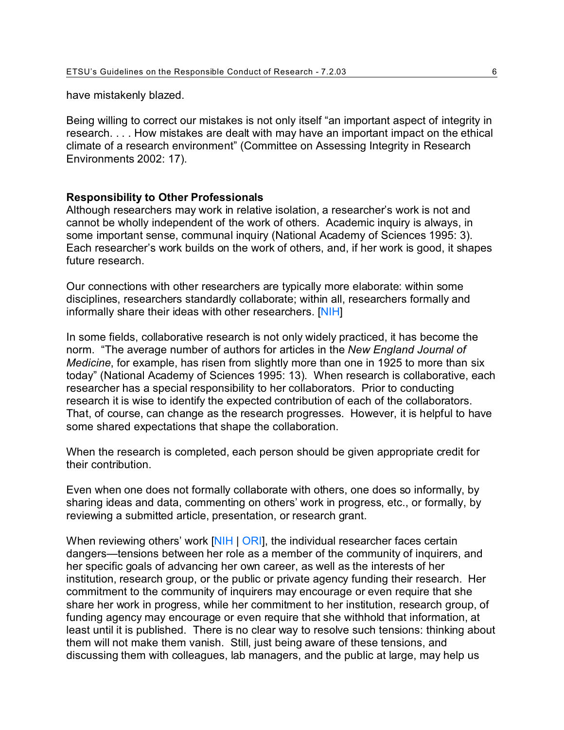have mistakenly blazed.

Being willing to correct our mistakes is not only itself "an important aspect of integrity in research. . . . How mistakes are dealt with may have an important impact on the ethical climate of a research environment" [\(Committee on Assessing Integrity in Research](http://endnote+.cit) [Environments 2002: 17\)](http://endnote+.cit).

## **Responsibility to Other Professionals**

Although researchers may work in relative isolation, a researcher's work is not and cannot be wholly independent of the work of others. Academic inquiry is always, in some important sense, communal inquiry [\(National Academy of Sciences 1995: 3\)](http://endnote+.cit). Each researcher's work builds on the work of others, and, if her work is good, it shapes future research.

Our connections with other researchers are typically more elaborate: within some disciplines, researchers standardly collaborate; within all, researchers formally and informally share their ideas with other researchers. [\[NIH](http://www.nih.gov/news/irnews/guidelines.htm#anchor129713)]

In some fields, collaborative research is not only widely practiced, it has become the norm. "The average number of authors for articles in the *New England Journal of Medicine*, for example, has risen from slightly more than one in 1925 to more than six today" [\(National Academy of Sciences 1995: 13\)](http://endnote+.cit). When research is collaborative, each researcher has a special responsibility to her collaborators. Prior to conducting research it is wise to identify the expected contribution of each of the collaborators. That, of course, can change as the research progresses. However, it is helpful to have some shared expectations that shape the collaboration.

When the research is completed, each person should be given appropriate credit for their contribution.

Even when one does not formally collaborate with others, one does so informally, by sharing ideas and data, commenting on others' work in progress, etc., or formally, by reviewing a submitted article, presentation, or research grant.

When reviewing others' work [\[NIH](http://www.nih.gov/news/irnews/guidelines.htm#anchor129022) | [ORI](http://www.etsu.edu/research_ethics/ori.guidelines.pdf#pi)], the individual researcher faces certain dangers—tensions between her role as a member of the community of inquirers, and her specific goals of advancing her own career, as well as the interests of her institution, research group, or the public or private agency funding their research. Her commitment to the community of inquirers may encourage or even require that she share her work in progress, while her commitment to her institution, research group, of funding agency may encourage or even require that she withhold that information, at least until it is published. There is no clear way to resolve such tensions: thinking about them will not make them vanish. Still, just being aware of these tensions, and discussing them with colleagues, lab managers, and the public at large, may help us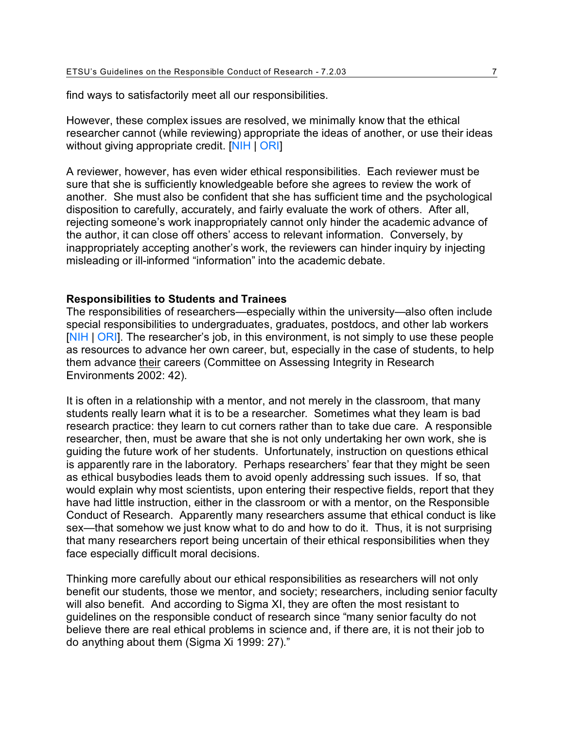find ways to satisfactorily meet all our responsibilities.

However, these complex issues are resolved, we minimally know that the ethical researcher cannot (while reviewing) appropriate the ideas of another, or use their ideas without giving appropriate credit. [\[NIH](http://www.nih.gov/news/irnews/guidelines.htm#anchor127575) | [ORI](http://www.etsu.edu/research_ethics/ori.guidelines.pdf#pi)]

A reviewer, however, has even wider ethical responsibilities. Each reviewer must be sure that she is sufficiently knowledgeable before she agrees to review the work of another. She must also be confident that she has sufficient time and the psychological disposition to carefully, accurately, and fairly evaluate the work of others. After all, rejecting someone's work inappropriately cannot only hinder the academic advance of the author, it can close off others' access to relevant information. Conversely, by inappropriately accepting another's work, the reviewers can hinder inquiry by injecting misleading or ill-informed "information" into the academic debate.

## **Responsibilities to Students and Trainees**

The responsibilities of researchers—especially within the university—also often include special responsibilities to undergraduates, graduates, postdocs, and other lab workers [\[NIH](http://www.nih.gov/news/irnews/guidelines.htm#anchor125913) | [ORI](http://www.etsu.edu/research_ethics/ori.guidelines.pdf#sup)]. The researcher's job, in this environment, is not simply to use these people as resources to advance her own career, but, especially in the case of students, to help them advance their careers [\(Committee on Assessing Integrity in Research](http://endnote+.cit) [Environments 2002: 42\)](http://endnote+.cit).

It is often in a relationship with a mentor, and not merely in the classroom, that many students really learn what it is to be a researcher. Sometimes what they learn is bad research practice: they learn to cut corners rather than to take due care. A responsible researcher, then, must be aware that she is not only undertaking her own work, she is guiding the future work of her students. Unfortunately, instruction on questions ethical is apparently rare in the laboratory. Perhaps researchers' fear that they might be seen as ethical busybodies leads them to avoid openly addressing such issues. If so, that would explain why most scientists, upon entering their respective fields, report that they have had little instruction, either in the classroom or with a mentor, on the Responsible Conduct of Research. Apparently many researchers assume that ethical conduct is like sex—that somehow we just know what to do and how to do it. Thus, it is not surprising that many researchers report being uncertain of their ethical responsibilities when they face especially difficult moral decisions.

Thinking more carefully about our ethical responsibilities as researchers will not only benefit our students, those we mentor, and society; researchers, including senior faculty will also benefit. And according to Sigma XI, they are often the most resistant to guidelines on the responsible conduct of research since "many senior faculty do not believe there are real ethical problems in science and, if there are, it is not their job to do anything about them [\(Sigma Xi 1999: 27\)](http://endnote+.cit)."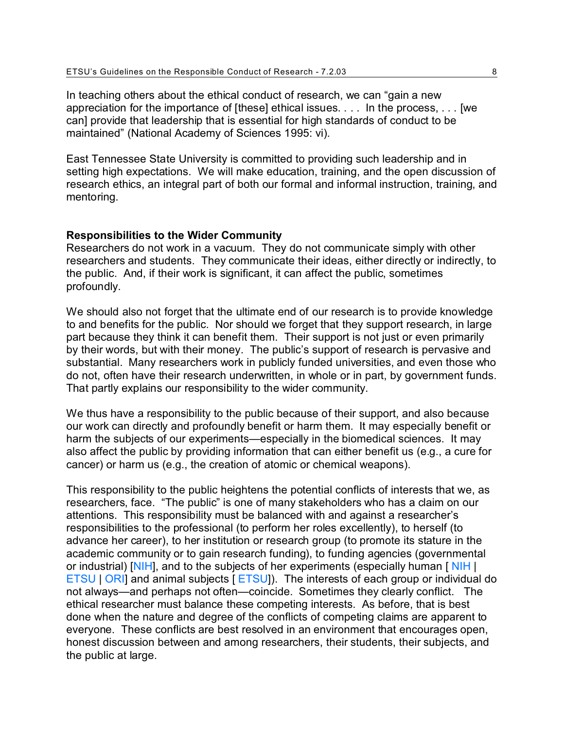In teaching others about the ethical conduct of research, we can "gain a new appreciation for the importance of [these] ethical issues. . . . In the process, . . . [we can] provide that leadership that is essential for high standards of conduct to be maintained" [\(National Academy of Sciences 1995: vi\)](http://endnote+.cit).

East Tennessee State University is committed to providing such leadership and in setting high expectations. We will make education, training, and the open discussion of research ethics, an integral part of both our formal and informal instruction, training, and mentoring.

#### **Responsibilities to the Wider Community**

Researchers do not work in a vacuum. They do not communicate simply with other researchers and students. They communicate their ideas, either directly or indirectly, to the public. And, if their work is significant, it can affect the public, sometimes profoundly.

We should also not forget that the ultimate end of our research is to provide knowledge to and benefits for the public. Nor should we forget that they support research, in large part because they think it can benefit them. Their support is not just or even primarily by their words, but with their money. The public's support of research is pervasive and substantial. Many researchers work in publicly funded universities, and even those who do not, often have their research underwritten, in whole or in part, by government funds. That partly explains our responsibility to the wider community.

We thus have a responsibility to the public because of their support, and also because our work can directly and profoundly benefit or harm them. It may especially benefit or harm the subjects of our experiments—especially in the biomedical sciences. It may also affect the public by providing information that can either benefit us (e.g., a cure for cancer) or harm us (e.g., the creation of atomic or chemical weapons).

This responsibility to the public heightens the potential conflicts of interests that we, as researchers, face. "The public" is one of many stakeholders who has a claim on our attentions. This responsibility must be balanced with and against a researcher's responsibilities to the professional (to perform her roles excellently), to herself (to advance her career), to her institution or research group (to promote its stature in the academic community or to gain research funding), to funding agencies (governmental or industrial) [\[NIH](http://www.nih.gov/news/irnews/guidelines.htm#anchor131464)], and to the subjects of her experiments (especially human [NIH ] [ETSU](http://www.etsu.edu/office1/Animal.htm) | [ORI](http://www.etsu.edu/research_ethics/ori.guidelines.pdf#cr)] and animal subjects [ [ETSU](http://www.etsu.edu/irb/)]). The interests of each group or individual do not always—and perhaps not often—coincide. Sometimes they clearly conflict. The ethical researcher must balance these competing interests. As before, that is best done when the nature and degree of the conflicts of competing claims are apparent to everyone. These conflicts are best resolved in an environment that encourages open, honest discussion between and among researchers, their students, their subjects, and the public at large.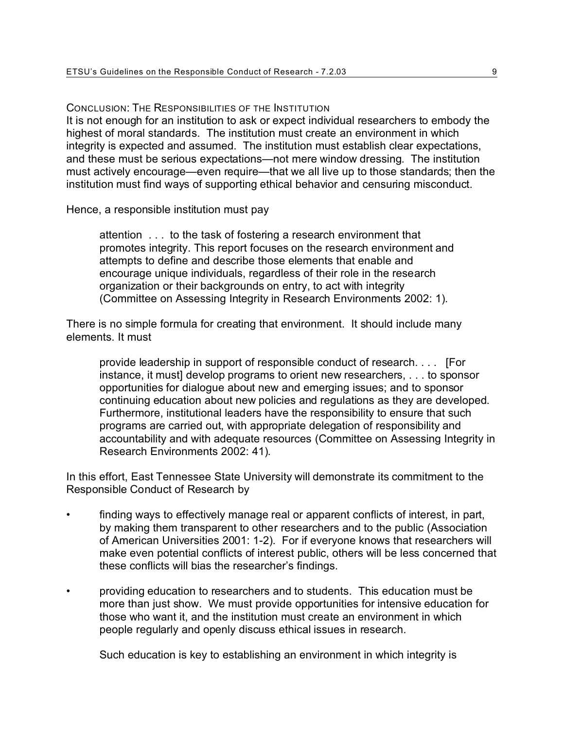CONCLUSION: THE RESPONSIBILITIES OF THE INSTITUTION It is not enough for an institution to ask or expect individual researchers to embody the highest of moral standards. The institution must create an environment in which integrity is expected and assumed. The institution must establish clear expectations, and these must be serious expectations—not mere window dressing. The institution must actively encourage—even require—that we all live up to those standards; then the institution must find ways of supporting ethical behavior and censuring misconduct.

Hence, a responsible institution must pay

attention . . . to the task of fostering a research environment that promotes integrity. This report focuses on the research environment and attempts to define and describe those elements that enable and encourage unique individuals, regardless of their role in the research organization or their backgrounds on entry, to act with integrity [\(Committee on Assessing Integrity in Research Environments 2002: 1\)](http://endnote+.cit).

There is no simple formula for creating that environment. It should include many elements. It must

provide leadership in support of responsible conduct of research. . . . [For instance, it must] develop programs to orient new researchers, . . . to sponsor opportunities for dialogue about new and emerging issues; and to sponsor continuing education about new policies and regulations as they are developed. Furthermore, institutional leaders have the responsibility to ensure that such programs are carried out, with appropriate delegation of responsibility and accountability and with adequate resources [\(Committee on Assessing Integrity in](http://endnote+.cit) [Research Environments 2002: 41\)](http://endnote+.cit).

In this effort, East Tennessee State University will demonstrate its commitment to the Responsible Conduct of Research by

- finding ways to effectively manage real or apparent conflicts of interest, in part, by making them transparent to other researchers and to the public [\(Association](http://endnote+.cit) [of American Universities 2001: 1-2\)](http://endnote+.cit). For if everyone knows that researchers will make even potential conflicts of interest public, others will be less concerned that these conflicts will bias the researcher's findings.
- providing education to researchers and to students. This education must be more than just show. We must provide opportunities for intensive education for those who want it, and the institution must create an environment in which people regularly and openly discuss ethical issues in research.

Such education is key to establishing an environment in which integrity is